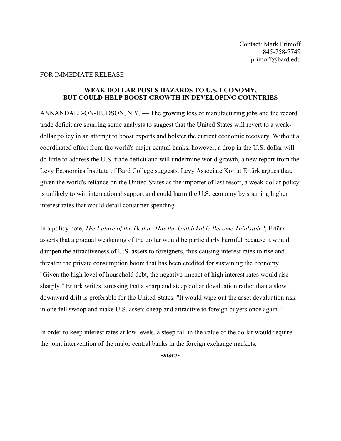## FOR IMMEDIATE RELEASE

## **WEAK DOLLAR POSES HAZARDS TO U.S. ECONOMY, BUT COULD HELP BOOST GROWTH IN DEVELOPING COUNTRIES**

ANNANDALE-ON-HUDSON, N.Y. — The growing loss of manufacturing jobs and the record trade deficit are spurring some analysts to suggest that the United States will revert to a weakdollar policy in an attempt to boost exports and bolster the current economic recovery. Without a coordinated effort from the world's major central banks, however, a drop in the U.S. dollar will do little to address the U.S. trade deficit and will undermine world growth, a new report from the Levy Economics Institute of Bard College suggests. Levy Associate Korjut Ertürk argues that, given the world's reliance on the United States as the importer of last resort, a weak-dollar policy is unlikely to win international support and could harm the U.S. economy by spurring higher interest rates that would derail consumer spending.

In a policy note, *The Future of the Dollar: Has the Unthinkable Become Thinkable?*, Ertürk asserts that a gradual weakening of the dollar would be particularly harmful because it would dampen the attractiveness of U.S. assets to foreigners, thus causing interest rates to rise and threaten the private consumption boom that has been credited for sustaining the economy. "Given the high level of household debt, the negative impact of high interest rates would rise sharply," Ertürk writes, stressing that a sharp and steep dollar devaluation rather than a slow downward drift is preferable for the United States. "It would wipe out the asset devaluation risk in one fell swoop and make U.S. assets cheap and attractive to foreign buyers once again."

In order to keep interest rates at low levels, a steep fall in the value of the dollar would require the joint intervention of the major central banks in the foreign exchange markets,

*-more-*